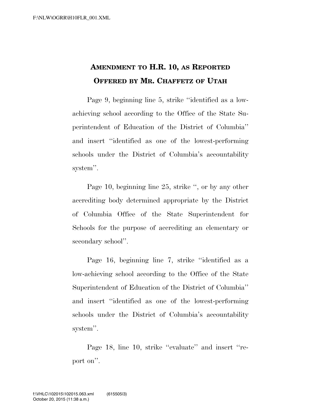## **AMENDMENT TO H.R. 10, AS REPORTED OFFERED BY MR. CHAFFETZ OF UTAH**

Page 9, beginning line 5, strike ''identified as a lowachieving school according to the Office of the State Superintendent of Education of the District of Columbia'' and insert ''identified as one of the lowest-performing schools under the District of Columbia's accountability system''.

Page 10, beginning line 25, strike '', or by any other accrediting body determined appropriate by the District of Columbia Office of the State Superintendent for Schools for the purpose of accrediting an elementary or secondary school''.

Page 16, beginning line 7, strike ''identified as a low-achieving school according to the Office of the State Superintendent of Education of the District of Columbia'' and insert ''identified as one of the lowest-performing schools under the District of Columbia's accountability system''.

Page 18, line 10, strike "evaluate" and insert "report on''.